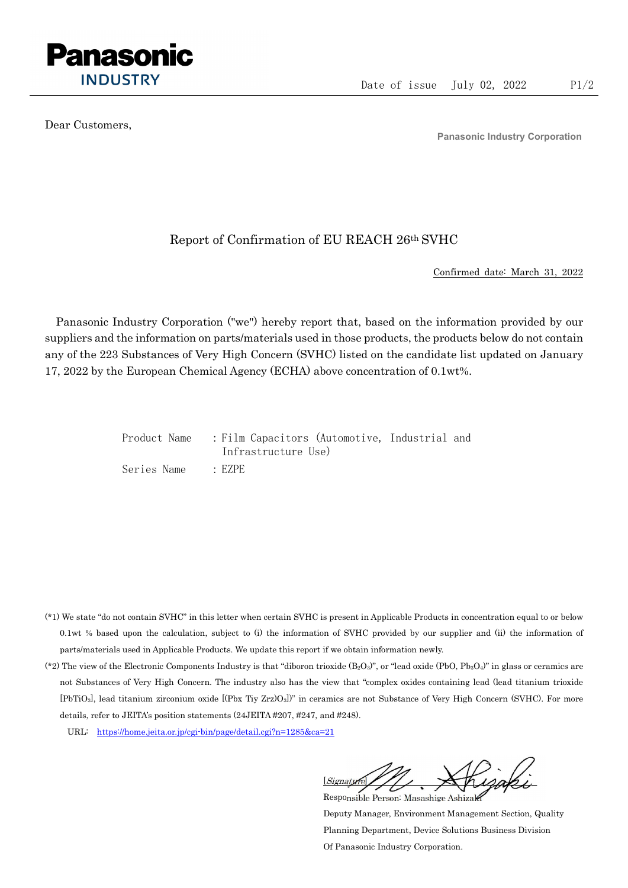

Dear Customers,

Panasonic Industry Corporation

## Report of Confirmation of EU REACH 26th SVHC

Confirmed date: March 31, 2022

Panasonic Industry Corporation ("we") hereby report that, based on the information provided by our suppliers and the information on parts/materials used in those products, the products below do not contain any of the 223 Substances of Very High Concern (SVHC) listed on the candidate list updated on January 17, 2022 by the European Chemical Agency (ECHA) above concentration of 0.1wt%.

|             | Product Name : Film Capacitors (Automotive, Industrial and |  |
|-------------|------------------------------------------------------------|--|
|             | Infrastructure Use)                                        |  |
| Series Name | $\cdot$ EZPE                                               |  |

- (\*1) We state "do not contain SVHC" in this letter when certain SVHC is present in Applicable Products in concentration equal to or below 0.1wt % based upon the calculation, subject to (i) the information of SVHC provided by our supplier and (ii) the information of parts/materials used in Applicable Products. We update this report if we obtain information newly.
- (\*2) The view of the Electronic Components Industry is that "diboron trioxide  $(B_2O_3)$ ", or "lead oxide (PbO, Pb<sub>3</sub>O<sub>4</sub>)" in glass or ceramics are not Substances of Very High Concern. The industry also has the view that "complex oxides containing lead (lead titanium trioxide [PbTiO3], lead titanium zirconium oxide [(Pbx Tiy Zrz)O3])" in ceramics are not Substance of Very High Concern (SVHC). For more details, refer to JEITA's position statements (24JEITA #207, #247, and #248).
	- URL: https://home.jeita.or.jp/cgi-bin/page/detail.cgi?n=1285&ca=21

[Signature] Responsible Person: Masashige Ashizaki

Deputy Manager, Environment Management Section, Quality Planning Department, Device Solutions Business Division Of Panasonic Industry Corporation.